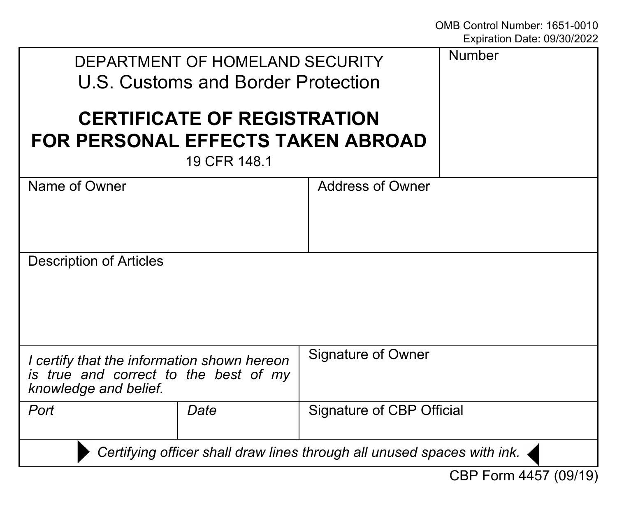| DEPARTMENT OF HOMELAND SECURITY<br>U.S. Customs and Border Protection                                         |      |                           | Number |
|---------------------------------------------------------------------------------------------------------------|------|---------------------------|--------|
| <b>CERTIFICATE OF REGISTRATION</b><br>FOR PERSONAL EFFECTS TAKEN ABROAD<br>19 CFR 148.1                       |      |                           |        |
| Name of Owner                                                                                                 |      | Address of Owner          |        |
| Description of Articles                                                                                       |      |                           |        |
| I certify that the information shown hereon<br>is true and correct to the best of my<br>knowledge and belief. |      | Signature of Owner        |        |
| Port                                                                                                          | Date | Signature of CBP Official |        |
| Certifying officer shall draw lines through all unused spaces with ink.                                       |      |                           |        |
| CBP Form 4457 (09/19)                                                                                         |      |                           |        |